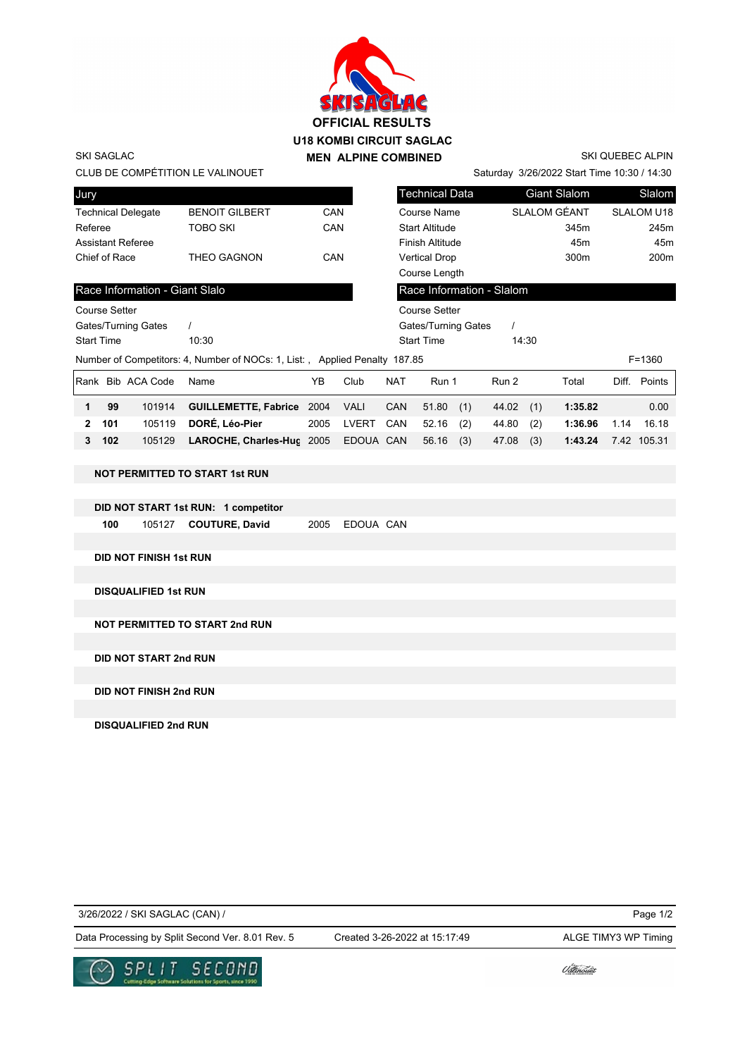

SKI SAGLAC

SKI QUEBEC ALPIN

| CLUB DE COMPÉTITION LE VALINOUET<br>Saturday 3/26/2022 Start Time 10:30 / 14:30          |                                |                            |                                       |      |             |                       |                       |     |                           |       |                     |                 |              |
|------------------------------------------------------------------------------------------|--------------------------------|----------------------------|---------------------------------------|------|-------------|-----------------------|-----------------------|-----|---------------------------|-------|---------------------|-----------------|--------------|
| Jury                                                                                     |                                |                            |                                       |      |             |                       | <b>Technical Data</b> |     |                           |       | <b>Giant Slalom</b> |                 | Slalom       |
| <b>Technical Delegate</b>                                                                |                                |                            | <b>BENOIT GILBERT</b>                 | CAN  |             | Course Name           |                       |     | <b>SLALOM GÉANT</b>       |       | <b>SLALOM U18</b>   |                 |              |
| Referee                                                                                  |                                |                            | <b>TOBO SKI</b>                       | CAN  |             | <b>Start Altitude</b> |                       |     |                           | 345m  |                     | 245m            |              |
| <b>Assistant Referee</b>                                                                 |                                |                            |                                       |      |             | Finish Altitude       |                       |     |                           | 45m   |                     | 45 <sub>m</sub> |              |
|                                                                                          | Chief of Race                  |                            | THEO GAGNON                           | CAN  |             | <b>Vertical Drop</b>  |                       |     |                           | 300m  |                     | 200m            |              |
|                                                                                          |                                |                            |                                       |      |             |                       | Course Length         |     |                           |       |                     |                 |              |
|                                                                                          | Race Information - Giant Slalo |                            |                                       |      |             |                       |                       |     | Race Information - Slalom |       |                     |                 |              |
|                                                                                          | <b>Course Setter</b>           |                            |                                       |      |             |                       | <b>Course Setter</b>  |     |                           |       |                     |                 |              |
|                                                                                          |                                | <b>Gates/Turning Gates</b> | $\prime$                              |      |             |                       | Gates/Turning Gates   |     | $\prime$                  |       |                     |                 |              |
| <b>Start Time</b>                                                                        |                                |                            | 10:30                                 |      |             |                       | <b>Start Time</b>     |     |                           | 14:30 |                     |                 |              |
| Number of Competitors: 4, Number of NOCs: 1, List:, Applied Penalty 187.85<br>$F = 1360$ |                                |                            |                                       |      |             |                       |                       |     |                           |       |                     |                 |              |
|                                                                                          |                                | Rank Bib ACA Code          | Name                                  | YB   | Club        | <b>NAT</b>            | Run 1                 |     | Run 2                     |       | Total               |                 | Diff. Points |
| 1                                                                                        | 99                             | 101914                     | <b>GUILLEMETTE, Fabrice 2004</b>      |      | <b>VALI</b> | <b>CAN</b>            | 51.80                 | (1) | 44.02                     | (1)   | 1:35.82             |                 | 0.00         |
| 2                                                                                        | 101                            | 105119                     | DORÉ, Léo-Pier                        | 2005 | LVERT       | CAN                   | 52.16                 | (2) | 44.80                     | (2)   | 1:36.96             | 1.14            | 16.18        |
| 3                                                                                        | 102                            | 105129                     | LAROCHE, Charles-Huc 2005             |      | EDOUA CAN   |                       | 56.16                 | (3) | 47.08                     | (3)   | 1:43.24             |                 | 7.42 105.31  |
|                                                                                          |                                |                            |                                       |      |             |                       |                       |     |                           |       |                     |                 |              |
|                                                                                          |                                |                            | <b>NOT PERMITTED TO START 1st RUN</b> |      |             |                       |                       |     |                           |       |                     |                 |              |
|                                                                                          |                                |                            |                                       |      |             |                       |                       |     |                           |       |                     |                 |              |
| DID NOT START 1st RUN: 1 competitor                                                      |                                |                            |                                       |      |             |                       |                       |     |                           |       |                     |                 |              |
|                                                                                          | 100                            | 105127                     | <b>COUTURE, David</b>                 | 2005 | EDOUA CAN   |                       |                       |     |                           |       |                     |                 |              |
|                                                                                          |                                |                            |                                       |      |             |                       |                       |     |                           |       |                     |                 |              |
| <b>DID NOT FINISH 1st RUN</b>                                                            |                                |                            |                                       |      |             |                       |                       |     |                           |       |                     |                 |              |
|                                                                                          |                                |                            |                                       |      |             |                       |                       |     |                           |       |                     |                 |              |
| <b>DISQUALIFIED 1st RUN</b>                                                              |                                |                            |                                       |      |             |                       |                       |     |                           |       |                     |                 |              |
|                                                                                          |                                |                            |                                       |      |             |                       |                       |     |                           |       |                     |                 |              |
| <b>NOT PERMITTED TO START 2nd RUN</b>                                                    |                                |                            |                                       |      |             |                       |                       |     |                           |       |                     |                 |              |
|                                                                                          |                                |                            |                                       |      |             |                       |                       |     |                           |       |                     |                 |              |
| <b>DID NOT START 2nd RUN</b>                                                             |                                |                            |                                       |      |             |                       |                       |     |                           |       |                     |                 |              |
|                                                                                          |                                |                            |                                       |      |             |                       |                       |     |                           |       |                     |                 |              |

**DID NOT FINISH 2nd RUN**

**DISQUALIFIED 2nd RUN**

3/26/2022 / SKI SAGLAC (CAN) /

Created 3-26-2022 at 15:17:49

Page 1/2

Data Processing by Split Second Ver. 8.01 Rev. 5 Created 3-26-2022 at 15:17:49 ALGE TIMY3 WP Timing



Udlinouët